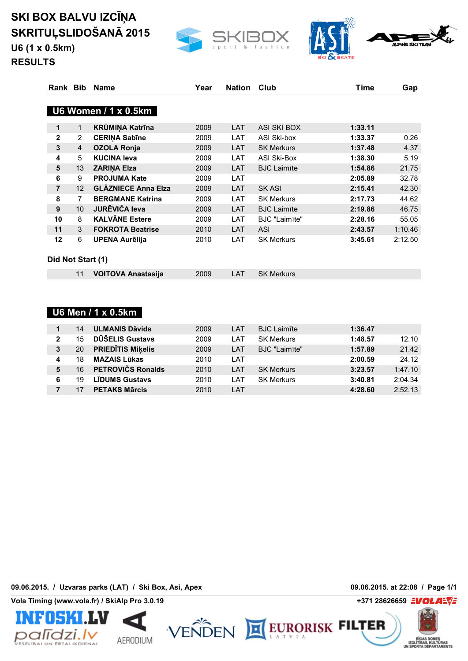**U6 (1 x 0.5km)**





**RESULTS**

| Rank Bib          |                 | <b>Name</b>                | Year | <b>Nation</b> | Club                 | Time    | Gap     |
|-------------------|-----------------|----------------------------|------|---------------|----------------------|---------|---------|
|                   |                 | U6 Women / 1 x 0.5km       |      |               |                      |         |         |
| 1                 | 1               | <b>KRÜMINA Katrīna</b>     | 2009 | LAT           | ASI SKI BOX          | 1:33.11 |         |
| $\mathbf{2}$      | $\overline{2}$  | <b>CERINA Sabīne</b>       | 2009 | LAT           | ASI Ski-box          | 1:33.37 | 0.26    |
| $\mathbf{3}$      | 4               | <b>OZOLA Ronja</b>         | 2009 | LAT           | <b>SK Merkurs</b>    | 1:37.48 | 4.37    |
| 4                 | 5               | <b>KUCINA leva</b>         | 2009 | LAT           | ASI Ski-Box          | 1:38.30 | 5.19    |
| 5                 | 13              | <b>ZARINA Elza</b>         | 2009 | <b>LAT</b>    | <b>BJC Laimīte</b>   | 1:54.86 | 21.75   |
| 6                 | 9               | <b>PROJUMA Kate</b>        | 2009 | LAT           |                      | 2:05.89 | 32.78   |
| $\overline{7}$    | 12              | <b>GLĀZNIECE Anna Elza</b> | 2009 | LAT           | SK ASI               | 2:15.41 | 42.30   |
| 8                 | $\overline{7}$  | <b>BERGMANE Katrina</b>    | 2009 | LAT           | <b>SK Merkurs</b>    | 2:17.73 | 44.62   |
| 9                 | 10 <sup>°</sup> | <b>JURĒVIČA leva</b>       | 2009 | LAT           | <b>BJC Laimīte</b>   | 2:19.86 | 46.75   |
| 10                | 8               | <b>KALVÄNE Estere</b>      | 2009 | LAT           | <b>BJC</b> "Laimīte" | 2:28.16 | 55.05   |
| 11                | 3               | <b>FOKROTA Beatrise</b>    | 2010 | LAT           | <b>ASI</b>           | 2:43.57 | 1:10.46 |
| 12                | 6               | <b>UPENA Aurēlija</b>      | 2010 | LAT           | <b>SK Merkurs</b>    | 3:45.61 | 2:12.50 |
| Did Not Start (1) |                 |                            |      |               |                      |         |         |
|                   | 11              | <b>VOITOVA Anastasija</b>  | 2009 | LAT           | <b>SK Merkurs</b>    |         |         |
|                   |                 |                            |      |               |                      |         |         |

| <b>U6 Men / 1 x 0.5km</b> ι |  |
|-----------------------------|--|
|-----------------------------|--|

|   | 14 | <b>ULMANIS Dāvids</b>    | 2009 | LAT  | <b>BJC Laimīte</b> | 1:36.47 |         |
|---|----|--------------------------|------|------|--------------------|---------|---------|
| 2 | 15 | DŪŠELIS Gustavs          | 2009 | LAT  | <b>SK Merkurs</b>  | 1:48.57 | 12.10   |
| 3 | 20 | <b>PRIEDITIS Mikelis</b> | 2009 | LAT  | BJC "Laimīte"      | 1:57.89 | 21.42   |
| 4 | 18 | <b>MAZAIS Lūkas</b>      | 2010 | LAT  |                    | 2:00.59 | 24.12   |
| 5 | 16 | PETROVIČS Ronalds        | 2010 | LAT  | <b>SK Merkurs</b>  | 3:23.57 | 1:47.10 |
| 6 | 19 | <b>LIDUMS Gustavs</b>    | 2010 | I AT | <b>SK Merkurs</b>  | 3:40.81 | 2:04.34 |
|   |    | <b>PETAKS Mārcis</b>     | 2010 | LAT  |                    | 4:28.60 | 2:52.13 |

**09.06.2015. / Uzvaras parks (LAT) / Ski Box, Asi, Apex 09.06.2015. at 22:08 / Page 1/1**

**Vola Timing (www.vola.fr) / SkiAlp Pro 3.0.19 +371 28626659**



AERODIUM



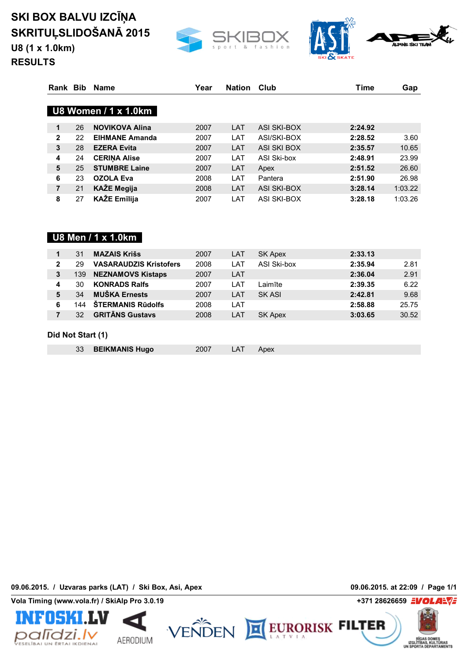**U8 (1 x 1.0km)**





**RESULTS**

| Rank Bib     |    | <b>Name</b>                       | Year | <b>Nation</b> | Club        | <b>Time</b> | Gap     |
|--------------|----|-----------------------------------|------|---------------|-------------|-------------|---------|
|              |    | U8 Women $\overline{7}$ 1 x 1.0km |      |               |             |             |         |
| 1            | 26 | <b>NOVIKOVA Alina</b>             | 2007 | LAT           | ASI SKI-BOX | 2:24.92     |         |
| $\mathbf{2}$ | 22 | <b>EIHMANE Amanda</b>             | 2007 | LAT           | ASI/SKI-BOX | 2:28.52     | 3.60    |
| 3            | 28 | <b>EZERA Evita</b>                | 2007 | LAT           | ASI SKI BOX | 2:35.57     | 10.65   |
| 4            | 24 | <b>CERINA Alise</b>               | 2007 | LAT           | ASI Ski-box | 2:48.91     | 23.99   |
| 5            | 25 | <b>STUMBRE Laine</b>              | 2007 | LAT           | Apex        | 2:51.52     | 26.60   |
| 6            | 23 | <b>OZOLA Eva</b>                  | 2008 | LAT           | Pantera     | 2:51.90     | 26.98   |
| 7            | 21 | <b>KAŽE Megija</b>                | 2008 | LAT           | ASI SKI-BOX | 3:28.14     | 1:03.22 |
| 8            | 27 | <b>KAŽE Emīlija</b>               | 2007 | LAT           | ASI SKI-BOX | 3:28.18     | 1:03.26 |

### **U8 Men / 1 x 1.0km**

|              | 31                | <b>MAZAIS Krišs</b>           | 2007 | LAT | <b>SK Apex</b> | 2:33.13 |       |  |  |  |  |
|--------------|-------------------|-------------------------------|------|-----|----------------|---------|-------|--|--|--|--|
| $\mathbf{2}$ | 29                | <b>VASARAUDZIS Kristofers</b> | 2008 | LAT | ASI Ski-box    | 2:35.94 | 2.81  |  |  |  |  |
| 3            | 139               | <b>NEZNAMOVS Kistaps</b>      | 2007 | LAT |                | 2:36.04 | 2.91  |  |  |  |  |
| 4            | 30                | <b>KONRADS Ralfs</b>          | 2007 | LAT | Laimīte        | 2:39.35 | 6.22  |  |  |  |  |
| 5            | 34                | <b>MUŠKA Ernests</b>          | 2007 | LAT | SK ASI         | 2:42.81 | 9.68  |  |  |  |  |
| 6            | 144               | <b>STERMANIS Rudolfs</b>      | 2008 | LAT |                | 2:58.88 | 25.75 |  |  |  |  |
|              | 32                | <b>GRITANS Gustavs</b>        | 2008 | LAT | SK Apex        | 3:03.65 | 30.52 |  |  |  |  |
|              |                   |                               |      |     |                |         |       |  |  |  |  |
|              | Did Not Start (1) |                               |      |     |                |         |       |  |  |  |  |

|  | 33 BEIKMANIS Hugo | 2007 | LAT | Apex |
|--|-------------------|------|-----|------|
|  |                   |      |     |      |

**09.06.2015. / Uzvaras parks (LAT) / Ski Box, Asi, Apex 09.06.2015. at 22:09 / Page 1/1**







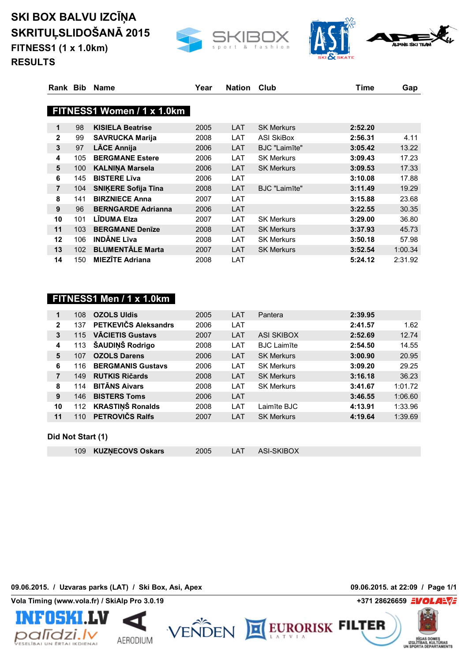**SKI BOX BALVU IZCĪŅA SKRITUĻSLIDOŠANĀ 2015 FITNESS1 (1 x 1.0km)**





**RESULTS**

| Rank Bib       |     | <b>Name</b>                | Year | <b>Nation</b> | Club<br>Time                     |         | Gap     |
|----------------|-----|----------------------------|------|---------------|----------------------------------|---------|---------|
|                |     |                            |      |               |                                  |         |         |
|                |     | FITNESS1 Women / 1 x 1.0km |      |               |                                  |         |         |
| 1              | 98  | <b>KISIELA Beatrise</b>    | 2005 | <b>LAT</b>    | <b>SK Merkurs</b>                | 2:52.20 |         |
| $\overline{2}$ | 99  | <b>SAVRUCKA Marija</b>     | 2008 | LAT           | <b>ASI SkiBox</b>                | 2:56.31 | 4.11    |
| 3              | 97  | <b>LĀCE Annija</b>         | 2006 | <b>LAT</b>    | <b>BJC</b> "Laim <sub>Ite"</sub> | 3:05.42 | 13.22   |
| 4              | 105 | <b>BERGMANE Estere</b>     | 2006 | <b>LAT</b>    | <b>SK Merkurs</b>                | 3:09.43 | 17.23   |
| 5              | 100 | <b>KALNINA Marsela</b>     | 2006 | <b>LAT</b>    | <b>SK Merkurs</b>                | 3:09.53 | 17.33   |
| 6              | 145 | <b>BISTERE Līva</b>        | 2006 | LAT           |                                  | 3:10.08 | 17.88   |
| $\overline{7}$ | 104 | <b>SNIKERE Sofija Tina</b> | 2008 | LAT           | <b>BJC</b> "Laimīte"             | 3:11.49 | 19.29   |
| 8              | 141 | <b>BIRZNIECE Anna</b>      | 2007 | LAT           |                                  | 3:15.88 | 23.68   |
| 9              | 96  | <b>BERNGARDE Adrianna</b>  | 2006 | <b>LAT</b>    |                                  | 3:22.55 | 30.35   |
| 10             | 101 | LIDUMA Elza                | 2007 | LAT           | <b>SK Merkurs</b>                | 3:29.00 | 36.80   |
| 11             | 103 | <b>BERGMANE Denize</b>     | 2008 | LAT           | <b>SK Merkurs</b>                | 3:37.93 | 45.73   |
| 12             | 106 | <b>INDANE Līva</b>         | 2008 | LAT           | <b>SK Merkurs</b>                | 3:50.18 | 57.98   |
| 13             | 102 | <b>BLUMENTALE Marta</b>    | 2007 | <b>LAT</b>    | <b>SK Merkurs</b>                | 3:52.54 | 1:00.34 |
| 14             | 150 | <b>MIEZĪTE Adriana</b>     | 2008 | LAT           |                                  | 5:24.12 | 2:31.92 |

### **FITNESS1 Men / 1 x 1.0km**

| 1            | 108 | <b>OZOLS Uldis</b>       | 2005 | LAT | Pantera                        | 2:39.95 |         |
|--------------|-----|--------------------------|------|-----|--------------------------------|---------|---------|
| $\mathbf{2}$ | 137 | PETKEVIČS Aleksandrs     | 2006 | LAT |                                | 2:41.57 | 1.62    |
| 3            | 115 | <b>VĀCIETIS Gustavs</b>  | 2007 | LAT | ASI SKIBOX                     | 2:52.69 | 12.74   |
| 4            | 113 | ŠAUDIŅŠ Rodrigo          | 2008 | LAT | <b>BJC</b> Laim <sub>Ite</sub> | 2:54.50 | 14.55   |
| 5            | 107 | <b>OZOLS Darens</b>      | 2006 | LAT | <b>SK Merkurs</b>              | 3:00.90 | 20.95   |
| 6            | 116 | <b>BERGMANIS Gustavs</b> | 2006 | LAT | <b>SK Merkurs</b>              | 3:09.20 | 29.25   |
| 7            | 149 | <b>RUTKIS Ričards</b>    | 2008 | LAT | <b>SK Merkurs</b>              | 3:16.18 | 36.23   |
| 8            | 114 | <b>BITANS Aivars</b>     | 2008 | LAT | <b>SK Merkurs</b>              | 3:41.67 | 1:01.72 |
| 9            | 146 | <b>BISTERS Toms</b>      | 2006 | LAT |                                | 3:46.55 | 1:06.60 |
| 10           | 112 | <b>KRASTINŠ Ronalds</b>  | 2008 | LAT | Laimīte BJC                    | 4:13.91 | 1:33.96 |
| 11           | 110 | <b>PETROVIČS Ralfs</b>   | 2007 | LAT | <b>SK Merkurs</b>              | 4:19.64 | 1:39.69 |
|              |     |                          |      |     |                                |         |         |

#### **Did Not Start (1)**

| 109 KUZNECOVS Oskars | 2005 | LAT | ASI-SKIBOX |  |
|----------------------|------|-----|------------|--|

**09.06.2015. / Uzvaras parks (LAT) / Ski Box, Asi, Apex 09.06.2015. at 22:09 / Page 1/1**





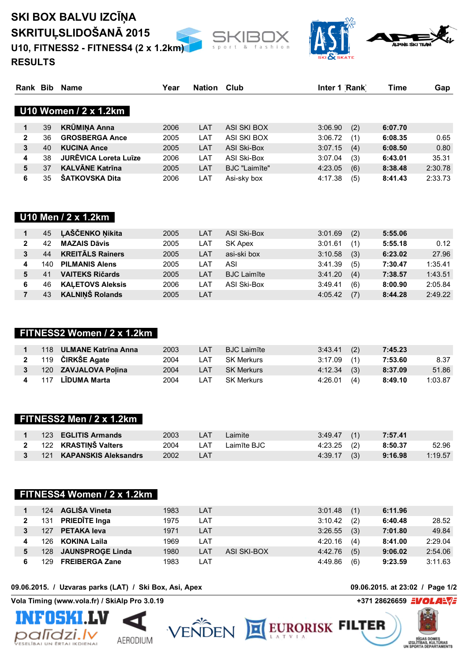### **SKI BOX BALVU IZCĪŅA SKRITUĻSLIDOŠANĀ 2015 U10, FITNESS2 - FITNESS4 (2 x 1.2km)**





**RESULTS**

| Rank Bib |    | Name                         | Year | <b>Nation</b> | Club          | Inter 1 Rank   | Time    | Gap     |
|----------|----|------------------------------|------|---------------|---------------|----------------|---------|---------|
|          |    | U10 Women / 2 x 1.2km        |      |               |               |                |         |         |
| 1        | 39 | <b>KRÜMINA Anna</b>          | 2006 | LAT           | ASI SKI BOX   | (2)<br>3:06.90 | 6:07.70 |         |
| 2        | 36 | <b>GROSBERGA Ance</b>        | 2005 | LAT           | ASI SKI BOX   | 3:06.72<br>(1) | 6:08.35 | 0.65    |
| 3        | 40 | <b>KUCINA Ance</b>           | 2005 | LAT           | ASI Ski-Box   | 3:07.15<br>(4) | 6:08.50 | 0.80    |
| 4        | 38 | <b>JURĒVICA Loreta Luīze</b> | 2006 | LAT           | ASI Ski-Box   | (3)<br>3:07.04 | 6:43.01 | 35.31   |
| 5        | 37 | <b>KALVĀNE Katrīna</b>       | 2005 | LAT           | BJC "Laimīte" | (6)<br>4:23.05 | 8:38.48 | 2:30.78 |
| 6        | 35 | <b>ŠATKOVSKA Dita</b>        | 2006 | LAT           | Asi-sky box   | (5)<br>4:17.38 | 8:41.43 | 2:33.73 |

#### **U10 Men / 2 x 1.2km**

|   | 45  | <b>LAŠČENKO Nikita</b>  | 2005 | LAT | ASI Ski-Box        | 3:01.69 | (2) | 5:55.06 |         |
|---|-----|-------------------------|------|-----|--------------------|---------|-----|---------|---------|
|   | 42  | <b>MAZAIS Dāvis</b>     | 2005 | LAT | SK Apex            | 3:01.61 | (1) | 5:55.18 | 0.12    |
|   | 44  | <b>KREITALS Rainers</b> | 2005 | LAT | asi-ski box        | 3:10.58 | (3) | 6:23.02 | 27.96   |
|   | 140 | <b>PILMANIS Alens</b>   | 2005 | AT  | ASI                | 3:41.39 | (5) | 7:30.47 | 1:35.41 |
|   | 41  | <b>VAITEKS Ričards</b>  | 2005 | LAT | <b>BJC Laimīte</b> | 3:41.20 | (4) | 7:38.57 | 1:43.51 |
| 6 | 46  | <b>KALETOVS Aleksis</b> | 2006 | _AT | ASI Ski-Box        | 3:49.41 | (6) | 8:00.90 | 2:05.84 |
|   | 43  | <b>KALNINŠ Rolands</b>  | 2005 | LAT |                    | 4:05.42 | (7) | 8:44.28 | 2:49.22 |

#### **FITNESS2 Women / 2 x 1.2km**

|  | 118 ULMANE Katrīna Anna | 2003 | LAT        | <b>BJC Laimīte</b> | $3:43.41$ (2) |     | 7:45.23 |         |
|--|-------------------------|------|------------|--------------------|---------------|-----|---------|---------|
|  | 2 119 ČIRKŠE Agate      | 2004 | I AT       | SK Merkurs         | $3:17.09$ (1) |     | 7:53.60 | 8.37    |
|  | 120 ZAVJALOVA Polina    | 2004 | <b>LAT</b> | SK Merkurs         | $4:12.34$ (3) |     | 8:37.09 | 51.86   |
|  | 4 117 LĪDUMA Marta      | 2004 | I AT       | SK Merkurs         | 4:26.01       | (4) | 8:49.10 | 1:03.87 |

#### **FITNESS2 Men / 2 x 1.2km**

|  | 123 <b>EGLITIS Armands</b> | 2003     | LAT  | Laimite     | $3:49.47$ (1) | 7:57.41 |         |
|--|----------------------------|----------|------|-------------|---------------|---------|---------|
|  | 2 122 KRASTIŅŠ Valters     | 2004     | LAT. | Laimīte BJC | 4:23.25 (2)   | 8:50.37 | 52.96   |
|  | 3 121 KAPANSKIS Aleksandrs | 2002 LAT |      |             | $4:39.17$ (3) | 9:16.98 | 1:19.57 |

#### **FITNESS4 Women / 2 x 1.2km**

| 124 | <b>AGLIŠA Vineta</b>  | 1983 | LAT  |             | 3:01.48 | (1) | 6:11.96 |         |
|-----|-----------------------|------|------|-------------|---------|-----|---------|---------|
| 131 | <b>PRIEDĪTE Inga</b>  | 1975 | LAT  |             | 3:10.42 | (2) | 6:40.48 | 28.52   |
| 127 | <b>PETAKA leva</b>    | 1971 | LAT  |             | 3:26.55 | (3) | 7:01.80 | 49.84   |
| 126 | KOKINA Laila          | 1969 | LAT  |             | 4:20.16 | (4) | 8:41.00 | 2:29.04 |
|     | 128 JAUNSPROGE Linda  | 1980 | LAT  | ASI SKI-BOX | 4:42.76 | (5) | 9:06.02 | 2:54.06 |
| 129 | <b>FREIBERGA Zane</b> | 1983 | ∟AT. |             | 4:49.86 | (6) | 9:23.59 | 3:11.63 |

#### **09.06.2015. / Uzvaras parks (LAT) / Ski Box, Asi, Apex 09.06.2015. at 23:02 / Page 1/2**





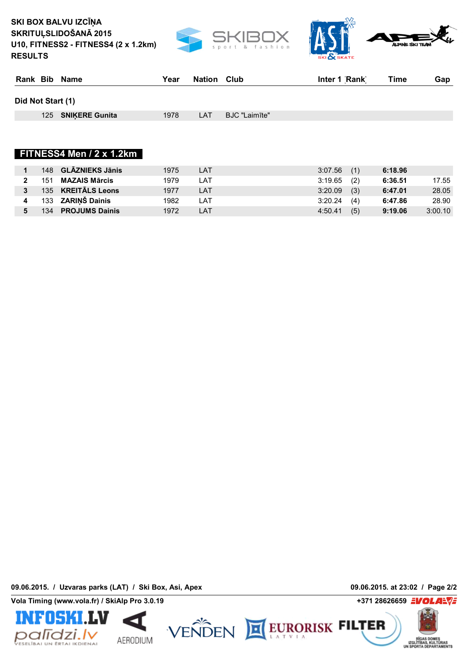**SKI BOX BALVU IZCĪŅA SKRITUĻSLIDOŠANĀ 2015 U10, FITNESS2 - FITNESS4 (2 x 1.2km) RESULTS**





| Rank Bib Name      | Year | <b>Nation Club</b> |               | Inter 1 Rank | Time | Gap |
|--------------------|------|--------------------|---------------|--------------|------|-----|
| Did Not Start (1)  |      |                    |               |              |      |     |
| 125 SNIKERE Gunita | 1978 | LAT                | BJC "Laimīte" |              |      |     |
|                    |      |                    |               |              |      |     |
|                    |      |                    |               |              |      |     |

#### **FITNESS4 Men / 2 x 1.2km**

|     | 148 GLĀZNIEKS Jānis      | 1975 | <b>LAT</b> | $3:07.56$ (1) |     | 6:18.96 |         |
|-----|--------------------------|------|------------|---------------|-----|---------|---------|
|     | 151 <b>MAZAIS Mārcis</b> | 1979 | LAT        | $3:19.65$ (2) |     | 6:36.51 | 17.55   |
|     | 135 KREITĀLS Leons       | 1977 | LAT        | 3:20.09       | (3) | 6:47.01 | 28.05   |
|     | 133 <b>ZARIŅŠ Dainis</b> | 1982 | LAT        | 3:20.24       | (4) | 6:47.86 | 28.90   |
| 134 | <b>PROJUMS Dainis</b>    | 1972 | LAT        | 4:50.41       | (5) | 9:19.06 | 3:00.10 |

**09.06.2015. / Uzvaras parks (LAT) / Ski Box, Asi, Apex 09.06.2015. at 23:02 / Page 2/2**





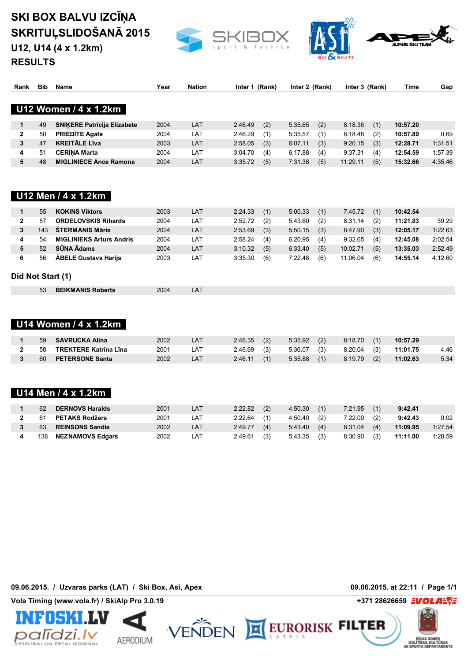**U12, U14 (4 x 1.2km)**





**RESULTS**

| Rank              | <b>Bib</b> | <b>Name</b>                        | Year | <b>Nation</b> |         | Inter 1 (Rank) |         | Inter 2 (Rank) |          | Inter 3 (Rank) |          | Gap     |
|-------------------|------------|------------------------------------|------|---------------|---------|----------------|---------|----------------|----------|----------------|----------|---------|
|                   |            | U12 Women / 4 x 1.2km              |      |               |         |                |         |                |          |                |          |         |
|                   |            |                                    |      |               |         |                |         |                |          |                |          |         |
| $\mathbf{1}$      | 49         | <b>SNIKERE Patricija Elizabete</b> | 2004 | LAT           | 2:46.49 | (2)            | 5:35.65 | (2)            | 8:18.36  | (1)            | 10:57.20 |         |
| $\mathbf{2}$      | 50         | <b>PRIEDĪTE Agate</b>              | 2004 | LAT           | 2:46.29 | (1)            | 5:35.57 | (1)            | 8:18.48  | (2)            | 10:57.89 | 0.69    |
| 3                 | 47         | <b>KREITÄLE Līva</b>               | 2003 | LAT           | 2:58.05 | (3)            | 6:07.11 | (3)            | 9:20.15  | (3)            | 12:28.71 | 1:31.51 |
| 4                 | 51         | <b>CERINA Marta</b>                | 2004 | LAT           | 3:04.70 | (4)            | 6:17.88 | (4)            | 9:37.31  | (4)            | 12:54.59 | 1:57.39 |
| 5                 | 48         | <b>MIGLINIECE Ance Ramona</b>      | 2004 | LAT           | 3:35.72 | (5)            | 7:31.38 | (5)            | 11:29.11 | (5)            | 15:32.66 | 4:35.46 |
|                   |            |                                    |      |               |         |                |         |                |          |                |          |         |
|                   |            | U12 Men / 4 x 1.2km                |      |               |         |                |         |                |          |                |          |         |
| $\mathbf{1}$      | 55         | <b>KOKINS Viktors</b>              | 2003 | LAT           | 2:24.33 | (1)            | 5:00.33 | (1)            | 7:45.72  | (1)            | 10:42.54 |         |
| $\overline{2}$    | 57         | <b>ORDELOVSKIS Rihards</b>         | 2004 | LAT           | 2:52.72 | (2)            | 5:43.60 | (2)            | 8:31.14  | (2)            | 11:21.83 | 39.29   |
| 3                 | 143        | <b>ŠTERMANIS Māris</b>             | 2004 | LAT           | 2:53.69 | (3)            | 5:50.15 | (3)            | 8:47.90  | (3)            | 12:05.17 | 1:22.63 |
| 4                 | 54         | <b>MIGLINIEKS Arturs Andris</b>    | 2004 | LAT           | 2:58.24 | (4)            | 6:20.95 | (4)            | 9:32.65  | (4)            | 12:45.08 | 2:02.54 |
| 5                 | 52         | SŪNA Ādams                         | 2004 | LAT           | 3:10.32 | (5)            | 6:33.40 | (5)            | 10:02.71 | (5)            | 13:35.03 | 2:52.49 |
| 6                 | 56         | <b>ABELE Gustavs Harijs</b>        | 2003 | LAT           | 3:35.30 | (6)            | 7:22.48 | (6)            | 11:06.04 | (6)            | 14:55.14 | 4:12.60 |
| Did Not Start (1) |            |                                    |      |               |         |                |         |                |          |                |          |         |
|                   | 53         | <b>BEIKMANIS Roberts</b>           | 2004 | LAT           |         |                |         |                |          |                |          |         |
|                   |            |                                    |      |               |         |                |         |                |          |                |          |         |
|                   |            |                                    |      |               |         |                |         |                |          |                |          |         |
|                   |            | U14 Women / 4 x 1.2km              |      |               |         |                |         |                |          |                |          |         |
| 1                 | 59         | <b>SAVRUCKA Alina</b>              | 2002 | LAT           | 2:46.35 | (2)            | 5:35.92 | (2)            | 8:18.70  | (1)            | 10:57.29 |         |
| $\mathbf{2}$      | 58         | <b>TREKTERE Katrina Lina</b>       | 2001 | LAT           | 2:46.69 | (3)            | 5:36.07 | (3)            | 8:20.04  | (3)            | 11:01.75 | 4.46    |
| 3                 | 60         | <b>PETERSONE Santa</b>             | 2002 | LAT           | 2:46.11 | (1)            | 5:35.88 | (1)            | 8:19.79  | (2)            | 11:02.63 | 5.34    |
|                   |            |                                    |      |               |         |                |         |                |          |                |          |         |
|                   |            |                                    |      |               |         |                |         |                |          |                |          |         |
|                   |            | U14 Men / 4 x 1.2km                |      |               |         |                |         |                |          |                |          |         |
| 1                 | 62         | <b>DERNOVS Haralds</b>             | 2001 | LAT           | 2:22.82 | (2)            | 4:50.30 | (1)            | 7:21.95  | (1)            | 9:42.41  |         |
| $\mathbf{2}$      | 61         | <b>PETAKS Rodžers</b>              | 2001 | LAT           | 2:22.64 | (1)            | 4:50.40 | (2)            | 7:22.09  | (2)            | 9:42.43  | 0.02    |
| 3                 | 63         | <b>REINSONS Sandis</b>             | 2002 | LAT           | 2:49.77 | (4)            | 5:43.40 | (4)            | 8:31.04  | (4)            | 11:09.95 | 1:27.54 |
| 4                 | 138        | <b>NEZNAMOVS Edgars</b>            | 2002 | LAT           | 2:49.61 | (3)            | 5:43.35 | (3)            | 8:30.90  | (3)            | 11:11.00 | 1:28.59 |
|                   |            |                                    |      |               |         |                |         |                |          |                |          |         |

**09.06.2015. / Uzvaras parks (LAT) / Ski Box, Asi, Apex 09.06.2015. at 22:11 / Page 1/1**

**Vola Timing (www.vola.fr) / SkiAlp Pro 3.0.19 +371 28626659**





EURORISK FILTER

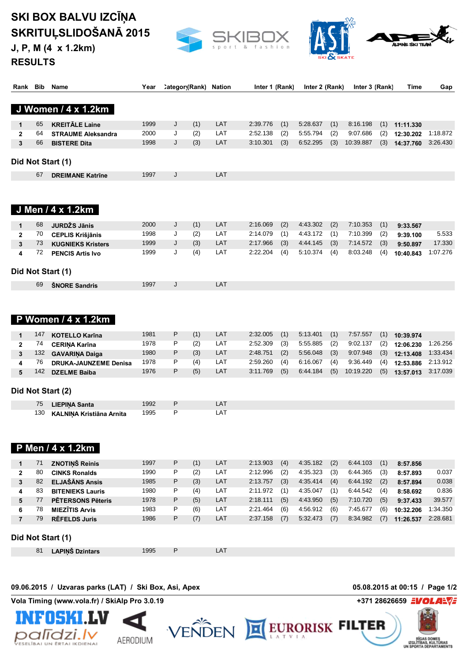**J, P, M (4 x 1.2km)**





**RESULTS**

| Rank Bib       |     | <b>Name</b>                                           | Year | Categor (Rank) |     | <b>Nation</b> | Inter 1 (Rank) |     | Inter 2 (Rank) |     | Inter 3 (Rank) |     | Time                           | Gap      |
|----------------|-----|-------------------------------------------------------|------|----------------|-----|---------------|----------------|-----|----------------|-----|----------------|-----|--------------------------------|----------|
|                |     |                                                       |      |                |     |               |                |     |                |     |                |     |                                |          |
|                |     | J Women / 4 x 1.2km                                   |      |                |     |               |                |     |                |     |                |     |                                |          |
| 1              | 65  | <b>KREITÄLE Laine</b>                                 | 1999 | J              | (1) | LAT           | 2:39.776       | (1) | 5:28.637       | (1) | 8:16.198       | (1) | 11:11.330                      |          |
| $\overline{2}$ | 64  | <b>STRAUME Aleksandra</b>                             | 2000 | J              | (2) | LAT           | 2:52.138       | (2) | 5:55.794       | (2) | 9:07.686       | (2) | 12:30.202                      | 1:18.872 |
| 3              | 66  | <b>BISTERE Dita</b>                                   | 1998 | J              | (3) | LAT           | 3:10.301       | (3) | 6:52.295       | (3) | 10:39.887      | (3) | 14:37.760                      | 3:26.430 |
|                |     | Did Not Start (1)                                     |      |                |     |               |                |     |                |     |                |     |                                |          |
|                | 67  | <b>DREIMANE Katrine</b>                               | 1997 | J              |     | LAT           |                |     |                |     |                |     |                                |          |
|                |     |                                                       |      |                |     |               |                |     |                |     |                |     |                                |          |
|                |     | J Men / 4 x 1.2km                                     |      |                |     |               |                |     |                |     |                |     |                                |          |
| 1              | 68  | JURDŽS Jānis                                          | 2000 | J              | (1) | LAT           | 2:16.069       | (2) | 4:43.302       | (2) | 7:10.353       | (1) | 9:33.567                       |          |
| $\overline{2}$ | 70  | <b>CEPLIS Krišjānis</b>                               | 1998 | J              | (2) | LAT           | 2:14.079       | (1) | 4:43.172       | (1) | 7:10.399       | (2) | 9:39.100                       | 5.533    |
| 3              | 73  | <b>KUGNIEKS Kristers</b>                              | 1999 | J              | (3) | LAT           | 2:17.966       | (3) | 4:44.145       | (3) | 7:14.572       | (3) | 9:50.897                       | 17.330   |
| 4              | 72  | <b>PENCIS Artis Ivo</b>                               | 1999 | J              | (4) | LAT           | 2:22.204       | (4) | 5:10.374       | (4) | 8:03.248       | (4) | 10:40.843                      | 1:07.276 |
|                |     |                                                       |      |                |     |               |                |     |                |     |                |     |                                |          |
|                |     | Did Not Start (1)                                     |      |                |     |               |                |     |                |     |                |     |                                |          |
|                | 69  | <b>SNORE Sandris</b>                                  | 1997 | J              |     | LAT           |                |     |                |     |                |     |                                |          |
|                |     | P Women / 4 x 1.2km                                   |      |                |     |               |                |     |                |     |                |     |                                |          |
| 1              | 147 | <b>KOTELLO Karīna</b>                                 | 1981 | P              | (1) | LAT           | 2:32.005       | (1) | 5:13.401       | (1) | 7:57.557       | (1) | 10:39.974                      |          |
| $\mathbf{2}$   | 74  | <b>CERINA Karīna</b>                                  | 1978 | P              | (2) | LAT           | 2:52.309       | (3) | 5:55.885       | (2) | 9:02.137       | (2) | 12:06.230                      | 1:26.256 |
| 3              | 132 | <b>GAVARINA Daiga</b>                                 | 1980 | P              | (3) | LAT           | 2:48.751       | (2) | 5:56.048       | (3) | 9:07.948       | (3) | 12:13.408                      | 1:33.434 |
| 4              | 76  | <b>DRUKA-JAUNZEME Denisa</b>                          | 1978 | P              | (4) | LAT           | 2:59.260       | (4) | 6:16.067       | (4) | 9:36.449       | (4) | 12:53.886                      | 2:13.912 |
| 5              | 142 | <b>DZELME Baiba</b>                                   | 1976 | P              | (5) | LAT           | 3:11.769       | (5) | 6:44.184       | (5) | 10:19.220      | (5) | 13:57.013                      | 3:17.039 |
|                |     | Did Not Start (2)                                     |      |                |     |               |                |     |                |     |                |     |                                |          |
|                | 75  | <b>LIEPINA Santa</b>                                  | 1992 | P              |     | LAT           |                |     |                |     |                |     |                                |          |
|                | 130 | KALNIŅA Kristiāna Arnita                              | 1995 | P              |     | LAT           |                |     |                |     |                |     |                                |          |
|                |     | Men / 4 x 1.2km                                       |      |                |     |               |                |     |                |     |                |     |                                |          |
| 1              | 71  | <b>ZNOTIŅŠ Reinis</b>                                 | 1997 | P              | (1) | LAT           | 2:13.903       | (4) | 4:35.182       | (2) | 6:44.103       | (1) | 8:57.856                       |          |
| $\mathbf{2}$   | 80  | <b>CINKS Ronalds</b>                                  | 1990 | P              | (2) | LAT           | 2:12.996       | (2) | 4:35.323       | (3) | 6:44.365       | (3) | 8:57.893                       | 0.037    |
| $\mathbf{3}$   | 82  | <b>ELJAŠĀNS Ansis</b>                                 | 1985 | P              | (3) | LAT           | 2:13.757       | (3) | 4:35.414       | (4) | 6:44.192       | (2) | 8:57.894                       | 0.038    |
| 4              | 83  | <b>BITENIEKS Lauris</b>                               | 1980 | P              | (4) | LAT           | 2:11.972       | (1) | 4:35.047       | (1) | 6:44.542       | (4) | 8:58.692                       | 0.836    |
| 5              | 77  | <b>PĒTERSONS Pēteris</b>                              | 1978 | P              | (5) | LAT           | 2:18.111       | (5) | 4:43.950       | (5) | 7:10.720       | (5) | 9:37.433                       | 39.577   |
| 6              | 78  | <b>MIEZĪTIS Arvis</b>                                 | 1983 | P              | (6) | LAT           | 2:21.464       | (6) | 4:56.912       | (6) | 7:45.677       | (6) | 10:32.206                      | 1:34.350 |
| $\overline{7}$ | 79  | <b>REFELDS Juris</b>                                  | 1986 | P              | (7) | LAT           | 2:37.158       | (7) | 5:32.473       | (7) | 8:34.982       | (7) | 11:26.537                      | 2:28.681 |
|                |     | Did Not Start (1)                                     |      |                |     |               |                |     |                |     |                |     |                                |          |
|                | 81  | <b>LAPIŅŠ Dzintars</b>                                | 1995 | P              |     | LAT           |                |     |                |     |                |     |                                |          |
|                |     |                                                       |      |                |     |               |                |     |                |     |                |     |                                |          |
|                |     | 09.06.2015 / Uzvaras parks (LAT) / Ski Box, Asi, Apex |      |                |     |               |                |     |                |     |                |     | 05.08.2015 at 00:15 / Page 1/2 |          |
|                |     | Vola Timing (www.vola.fr) / SkiAlp Pro 3.0.19         |      |                |     |               |                |     |                |     |                |     | +371 28626659 EVOLAEVE         |          |





RÍGAS DOMES<br>IZGLÍTÍBAS, KULTÚRAS<br>I SPORTA DÉPARTAMENTS